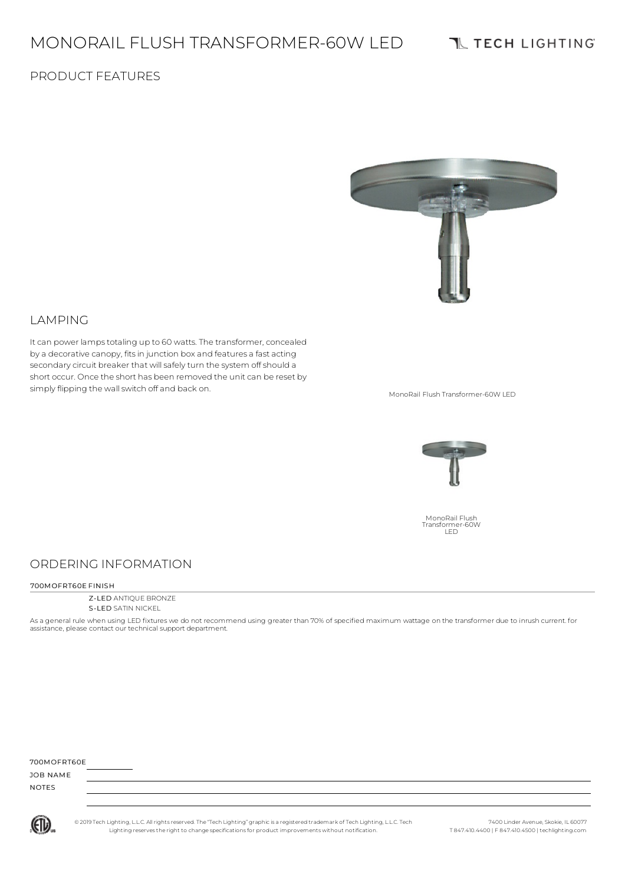# MONORAIL FLUSH TRANSFORMER-60W LED

## **TL TECH LIGHTING**

## PRODUCT FEATURES



#### LAMPING

It can power lamps totaling up to 60 watts. The transformer, concealed by a decorative canopy, fitsin junction box and features a fast acting secondary circuit breaker that will safely turn the system off should a short occur. Once the short has been removed the unit can be reset by simply flipping the wall switch off and back on.<br>MonoRail Flush Transformer-60W LED



MonoRail Flush Transformer-60W LED

## ORDERING INFORMATION

#### 700MOFRT60E FINISH

Z-LED ANTIQUE BRONZE S-LED SATIN NICKEL

As a general rule when using LED fixtures we do not recommend using greater than 70% of specified maximum wattage on the transformer due to inrush current. for assistance, please contact our technical support department.

| 700MOFRT60E  |  |  |
|--------------|--|--|
| JOB NAME     |  |  |
| <b>NOTES</b> |  |  |



© 2019 Tech Lighting, L.L.C. All rightsreserved. The "Tech Lighting" graphicis a registered trademark of Tech Lighting, L.L.C. Tech Lighting reservesthe right to change specificationsfor product improvements without notification.